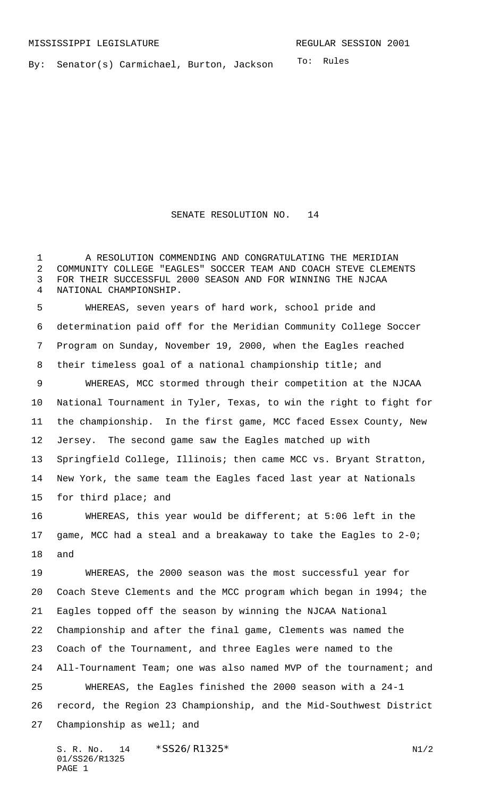To: Rules By: Senator(s) Carmichael, Burton, Jackson

SENATE RESOLUTION NO. 14

1 A RESOLUTION COMMENDING AND CONGRATULATING THE MERIDIAN COMMUNITY COLLEGE "EAGLES" SOCCER TEAM AND COACH STEVE CLEMENTS FOR THEIR SUCCESSFUL 2000 SEASON AND FOR WINNING THE NJCAA NATIONAL CHAMPIONSHIP.

 WHEREAS, seven years of hard work, school pride and determination paid off for the Meridian Community College Soccer Program on Sunday, November 19, 2000, when the Eagles reached their timeless goal of a national championship title; and WHEREAS, MCC stormed through their competition at the NJCAA National Tournament in Tyler, Texas, to win the right to fight for the championship. In the first game, MCC faced Essex County, New Jersey. The second game saw the Eagles matched up with Springfield College, Illinois; then came MCC vs. Bryant Stratton, New York, the same team the Eagles faced last year at Nationals for third place; and

 WHEREAS, this year would be different; at 5:06 left in the game, MCC had a steal and a breakaway to take the Eagles to 2-0; and

 WHEREAS, the 2000 season was the most successful year for Coach Steve Clements and the MCC program which began in 1994; the Eagles topped off the season by winning the NJCAA National Championship and after the final game, Clements was named the Coach of the Tournament, and three Eagles were named to the All-Tournament Team; one was also named MVP of the tournament; and WHEREAS, the Eagles finished the 2000 season with a 24-1 record, the Region 23 Championship, and the Mid-Southwest District Championship as well; and

S. R. No. 14 \* SS26/R1325\* N1/2 01/SS26/R1325 PAGE 1